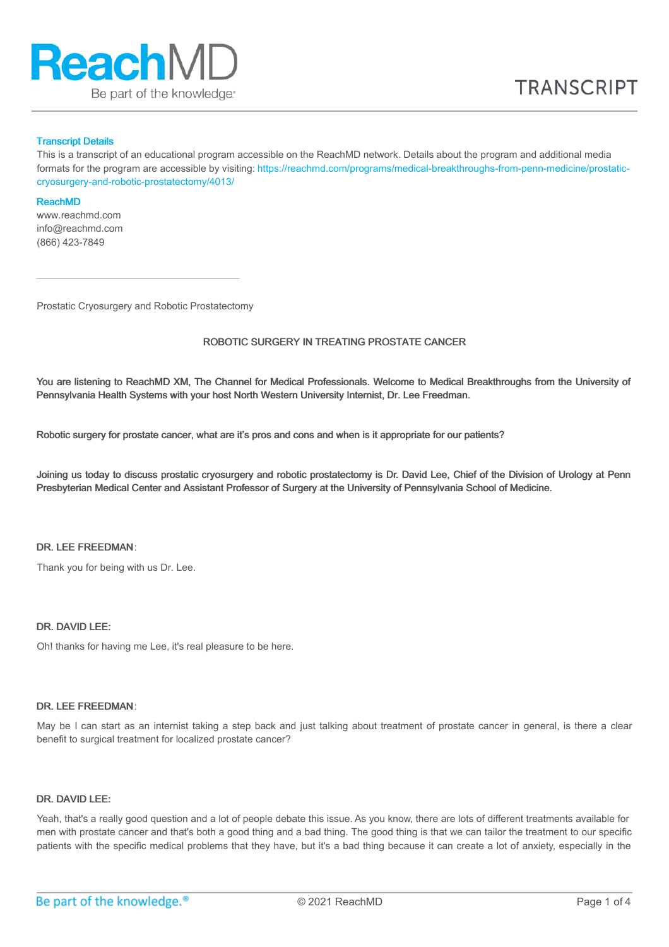

### Transcript Details

This is a transcript of an educational program accessible on the ReachMD network. Details about the program and additional media formats for the program are accessible by visiting: [https://reachmd.com/programs/medical-breakthroughs-from-penn-medicine/prostatic](https://reachmd.com/programs/medical-breakthroughs-from-penn-medicine/prostatic-cryosurgery-and-robotic-prostatectomy/4013/)cryosurgery-and-robotic-prostatectomy/4013/

#### ReachMD

www.reachmd.com info@reachmd.com (866) 423-7849

Prostatic Cryosurgery and Robotic Prostatectomy

# ROBOTIC SURGERY IN TREATING PROSTATE CANCER

You are listening to ReachMD XM, The Channel for Medical Professionals. Welcome to Medical Breakthroughs from the University of Pennsylvania Health Systems with your host North Western University Internist, Dr. Lee Freedman.

Robotic surgery for prostate cancer, what are it's pros and cons and when is it appropriate for our patients?

Joining us today to discuss prostatic cryosurgery and robotic prostatectomy is Dr. David Lee, Chief of the Division of Urology at Penn Presbyterian Medical Center and Assistant Professor of Surgery at the University of Pennsylvania School of Medicine.

# DR. LEE FREEDMAN:

Thank you for being with us Dr. Lee.

# DR. DAVID LEE:

Oh! thanks for having me Lee, it's real pleasure to be here.

### DR. LEE FREEDMAN:

May be I can start as an internist taking a step back and just talking about treatment of prostate cancer in general, is there a clear benefit to surgical treatment for localized prostate cancer?

### DR. DAVID LEE:

Yeah, that's a really good question and a lot of people debate this issue. As you know, there are lots of different treatments available for men with prostate cancer and that's both a good thing and a bad thing. The good thing is that we can tailor the treatment to our specific patients with the specific medical problems that they have, but it's a bad thing because it can create a lot of anxiety, especially in the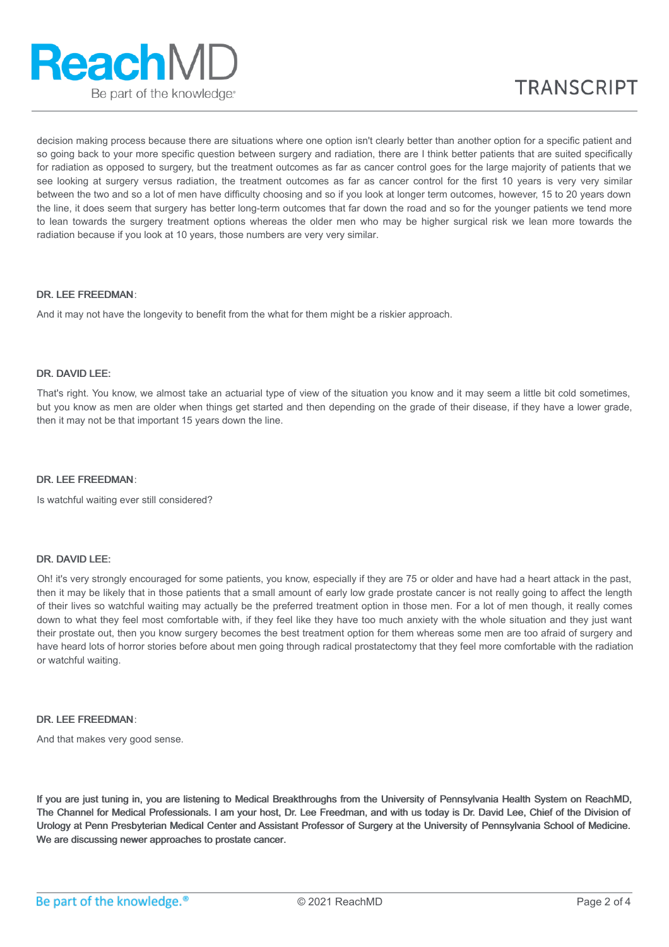

decision making process because there are situations where one option isn't clearly better than another option for a specific patient and so going back to your more specific question between surgery and radiation, there are I think better patients that are suited specifically for radiation as opposed to surgery, but the treatment outcomes as far as cancer control goes for the large majority of patients that we see looking at surgery versus radiation, the treatment outcomes as far as cancer control for the first 10 years is very very similar between the two and so a lot of men have difficulty choosing and so if you look at longer term outcomes, however, 15 to 20 years down the line, it does seem that surgery has better long-term outcomes that far down the road and so for the younger patients we tend more to lean towards the surgery treatment options whereas the older men who may be higher surgical risk we lean more towards the radiation because if you look at 10 years, those numbers are very very similar.

# DR. LEE FREEDMAN:

And it may not have the longevity to benefit from the what for them might be a riskier approach.

### DR. DAVID LFF:

That's right. You know, we almost take an actuarial type of view of the situation you know and it may seem a little bit cold sometimes, but you know as men are older when things get started and then depending on the grade of their disease, if they have a lower grade, then it may not be that important 15 years down the line.

### DR. LEE FREEDMAN:

Is watchful waiting ever still considered?

### DR. DAVID LEE:

Oh! it's very strongly encouraged for some patients, you know, especially if they are 75 or older and have had a heart attack in the past, then it may be likely that in those patients that a small amount of early low grade prostate cancer is not really going to affect the length of their lives so watchful waiting may actually be the preferred treatment option in those men. For a lot of men though, it really comes down to what they feel most comfortable with, if they feel like they have too much anxiety with the whole situation and they just want their prostate out, then you know surgery becomes the best treatment option for them whereas some men are too afraid of surgery and have heard lots of horror stories before about men going through radical prostatectomy that they feel more comfortable with the radiation or watchful waiting.

# DR. LEE FREEDMAN:

And that makes very good sense.

If you are just tuning in, you are listening to Medical Breakthroughs from the University of Pennsylvania Health System on ReachMD, The Channel for Medical Professionals. I am your host, Dr. Lee Freedman, and with us today is Dr. David Lee, Chief of the Division of Urology at Penn Presbyterian Medical Center and Assistant Professor of Surgery at the University of Pennsylvania School of Medicine. We are discussing newer approaches to prostate cancer.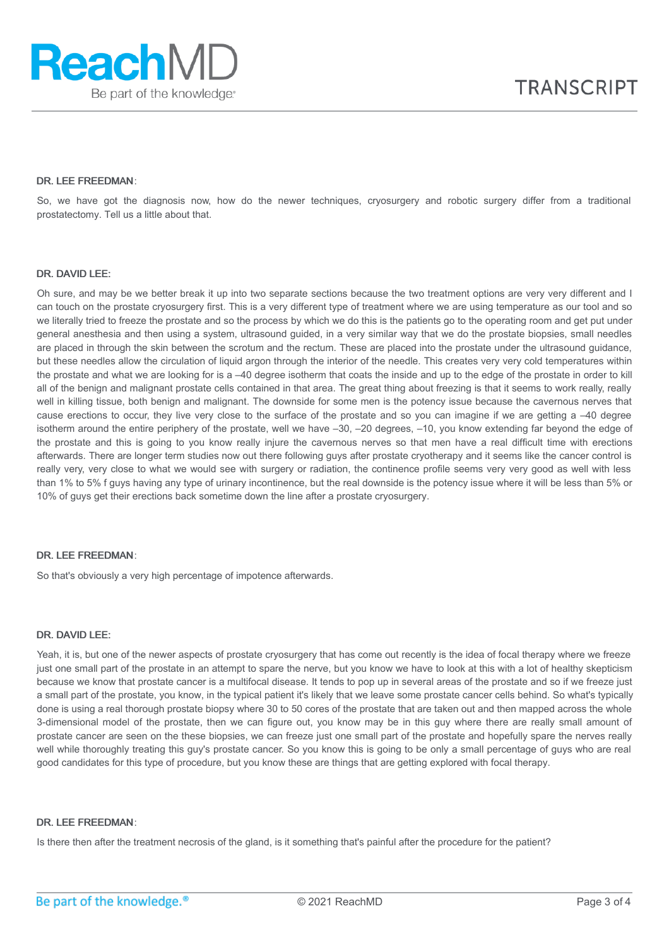# DR. LEE FREEDMAN:

So, we have got the diagnosis now, how do the newer techniques, cryosurgery and robotic surgery differ from a traditional prostatectomy. Tell us a little about that.

#### DR. DAVID LEE:

Oh sure, and may be we better break it up into two separate sections because the two treatment options are very very different and I can touch on the prostate cryosurgery first. This is a very different type of treatment where we are using temperature as our tool and so we literally tried to freeze the prostate and so the process by which we do this is the patients go to the operating room and get put under general anesthesia and then using a system, ultrasound guided, in a very similar way that we do the prostate biopsies, small needles are placed in through the skin between the scrotum and the rectum. These are placed into the prostate under the ultrasound guidance, but these needles allow the circulation of liquid argon through the interior of the needle. This creates very very cold temperatures within the prostate and what we are looking for is a –40 degree isotherm that coats the inside and up to the edge of the prostate in order to kill all of the benign and malignant prostate cells contained in that area. The great thing about freezing is that it seems to work really, really well in killing tissue, both benign and malignant. The downside for some men is the potency issue because the cavernous nerves that cause erections to occur, they live very close to the surface of the prostate and so you can imagine if we are getting a –40 degree isotherm around the entire periphery of the prostate, well we have –30, –20 degrees, –10, you know extending far beyond the edge of the prostate and this is going to you know really injure the cavernous nerves so that men have a real difficult time with erections afterwards. There are longer term studies now out there following guys after prostate cryotherapy and it seems like the cancer control is really very, very close to what we would see with surgery or radiation, the continence profile seems very very good as well with less than 1% to 5% f guys having any type of urinary incontinence, but the real downside is the potency issue where it will be less than 5% or 10% of guys get their erections back sometime down the line after a prostate cryosurgery.

### DR. LEE FREEDMAN:

So that's obviously a very high percentage of impotence afterwards.

# DR. DAVID LEE:

Yeah, it is, but one of the newer aspects of prostate cryosurgery that has come out recently is the idea of focal therapy where we freeze just one small part of the prostate in an attempt to spare the nerve, but you know we have to look at this with a lot of healthy skepticism because we know that prostate cancer is a multifocal disease. It tends to pop up in several areas of the prostate and so if we freeze just a small part of the prostate, you know, in the typical patient it's likely that we leave some prostate cancer cells behind. So what's typically done is using a real thorough prostate biopsy where 30 to 50 cores of the prostate that are taken out and then mapped across the whole 3-dimensional model of the prostate, then we can figure out, you know may be in this guy where there are really small amount of prostate cancer are seen on the these biopsies, we can freeze just one small part of the prostate and hopefully spare the nerves really well while thoroughly treating this guy's prostate cancer. So you know this is going to be only a small percentage of guys who are real good candidates for this type of procedure, but you know these are things that are getting explored with focal therapy.

# DR. LEE FREEDMAN:

Is there then after the treatment necrosis of the gland, is it something that's painful after the procedure for the patient?